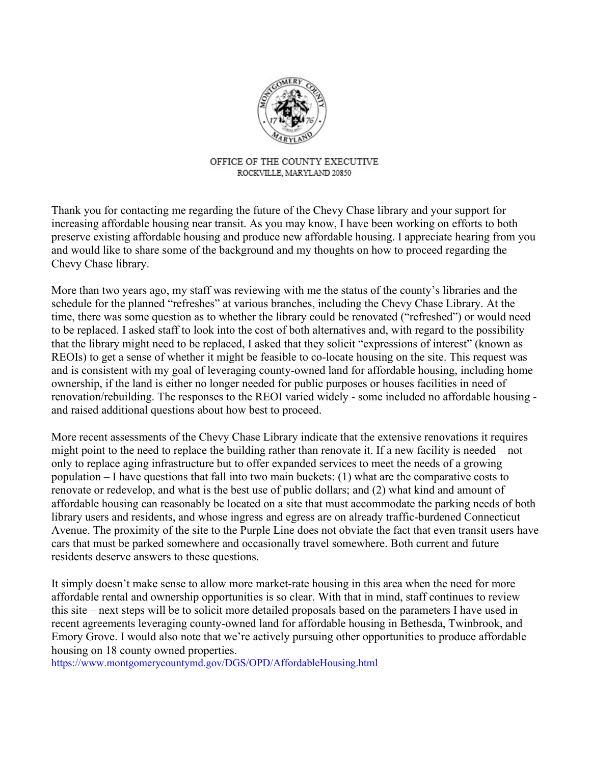

## OFFICE OF THE COUNTY EXECUTIVE ROCKVILLE, MARYLAND 20850

Thank you for contacting me regarding the future of the Chevy Chase library and your support for increasing affordable housing near transit. As you may know, I have been working on efforts to both preserve existing affordable housing and produce new affordable housing. I appreciate hearing from you and would like to share some of the background and my thoughts on how to proceed regarding the Chevy Chase library.

More than two years ago, my staff was reviewing with me the status of the county's libraries and the schedule for the planned "refreshes" at various branches, including the Chevy Chase Library. At the time, there was some question as to whether the library could be renovated ("refreshed") or would need to be replaced. I asked staff to look into the cost of both alternatives and, with regard to the possibility that the library might need to be replaced, I asked that they solicit "expressions of interest" (known as REOIs) to get a sense of whether it might be feasible to co-locate housing on the site. This request was and is consistent with my goal of leveraging county-owned land for affordable housing, including home ownership, if the land is either no longer needed for public purposes or houses facilities in need of renovation/rebuilding. The responses to the REOI varied widely - some included no affordable housing and raised additional questions about how best to proceed.

More recent assessments of the Chevy Chase Library indicate that the extensive renovations it requires might point to the need to replace the building rather than renovate it. If a new facility is needed – not only to replace aging infrastructure but to offer expanded services to meet the needs of a growing population – I have questions that fall into two main buckets: (1) what are the comparative costs to renovate or redevelop, and what is the best use of public dollars; and (2) what kind and amount of affordable housing can reasonably be located on a site that must accommodate the parking needs of both library users and residents, and whose ingress and egress are on already traffic-burdened Connecticut Avenue. The proximity of the site to the Purple Line does not obviate the fact that even transit users have cars that must be parked somewhere and occasionally travel somewhere. Both current and future residents deserve answers to these questions.

It simply doesn't make sense to allow more market-rate housing in this area when the need for more affordable rental and ownership opportunities is so clear. With that in mind, staff continues to review this site – next steps will be to solicit more detailed proposals based on the parameters I have used in recent agreements leveraging county-owned land for affordable housing in Bethesda, Twinbrook, and Emory Grove. I would also note that we're actively pursuing other opportunities to produce affordable housing on 18 county owned properties.

[https://www.montgomerycountymd.gov/DGS/OPD/AffordableHousing.html](https://iqconnect.lmhostediq.com/iqextranet/iqClickTrk.aspx?&cid=FSL_MCEO&crop=12960QQQ5118666QQQ5107773QQQ331118&report_id=&redirect=https%3a%2f%2fwww.montgomerycountymd.gov%2fDGS%2fOPD%2fAffordableHousing.html&redir_log=926756205661453)